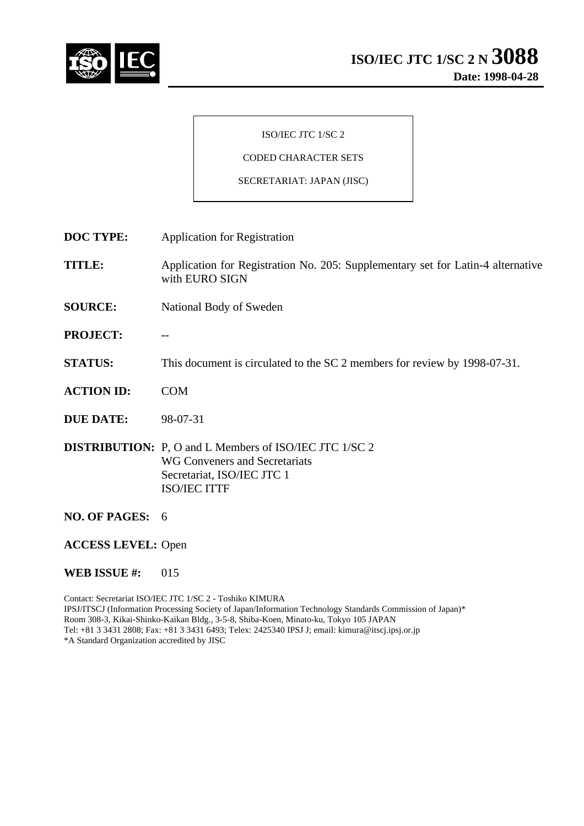

### ISO/IEC JTC 1/SC 2

# CODED CHARACTER SETS

#### SECRETARIAT: JAPAN (JISC)

**DOC TYPE:** Application for Registration

**TITLE:** Application for Registration No. 205: Supplementary set for Latin-4 alternative with EURO SIGN

- **SOURCE:** National Body of Sweden
- PROJECT:
- **STATUS:** This document is circulated to the SC 2 members for review by 1998-07-31.
- **ACTION ID:** COM
- **DUE DATE:** 98-07-31

**DISTRIBUTION:** P, O and L Members of ISO/IEC JTC 1/SC 2 WG Conveners and Secretariats Secretariat, ISO/IEC JTC 1 ISO/IEC ITTF

- **NO. OF PAGES:** 6
- **ACCESS LEVEL:** Open

#### **WEB ISSUE #:** 015

Contact: Secretariat ISO/IEC JTC 1/SC 2 - Toshiko KIMURA IPSJ/ITSCJ (Information Processing Society of Japan/Information Technology Standards Commission of Japan)\* Room 308-3, Kikai-Shinko-Kaikan Bldg., 3-5-8, Shiba-Koen, Minato-ku, Tokyo 105 JAPAN Tel: +81 3 3431 2808; Fax: +81 3 3431 6493; Telex: 2425340 IPSJ J; email: kimura@itscj.ipsj.or.jp \*A Standard Organization accredited by JISC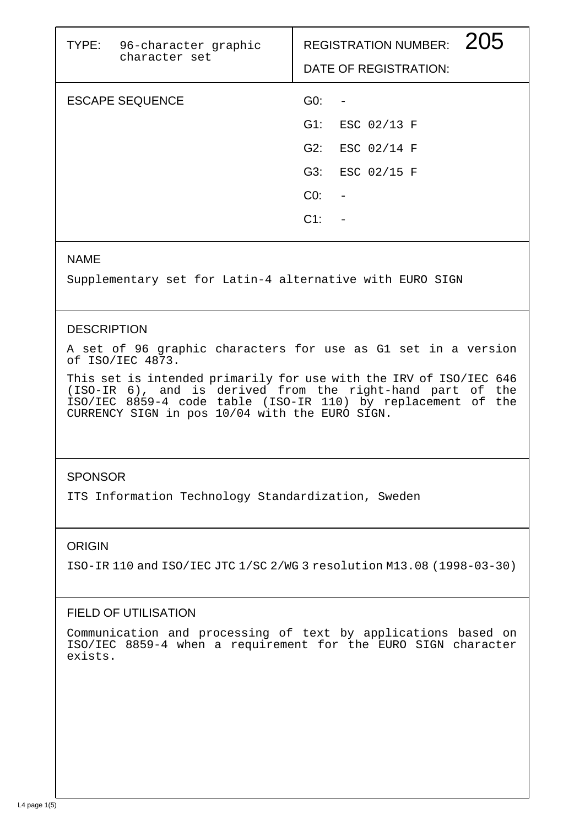| TYPE: 96-character graphic<br>character set |                 | 205<br><b>REGISTRATION NUMBER:</b><br>DATE OF REGISTRATION: |  |
|---------------------------------------------|-----------------|-------------------------------------------------------------|--|
| <b>ESCAPE SEQUENCE</b>                      | GO:             |                                                             |  |
|                                             | G1:             | ESC 02/13 F                                                 |  |
|                                             | G2:             | ESC 02/14 F                                                 |  |
|                                             | G3:             | ESC 02/15 F                                                 |  |
|                                             | CO <sub>2</sub> |                                                             |  |
|                                             | $C1$ :          |                                                             |  |
|                                             |                 |                                                             |  |

### NAME

Supplementary set for Latin-4 alternative with EURO SIGN

## **DESCRIPTION**

A set of 96 graphic characters for use as G1 set in a version of ISO/IEC 4873.

This set is intended primarily for use with the IRV of ISO/IEC 646 (ISO-IR 6), and is derived from the right-hand part of the ISO/IEC 8859-4 code table (ISO-IR 110) by replacement of the CURRENCY SIGN in pos 10/04 with the EURO SIGN.

## **SPONSOR**

ITS Information Technology Standardization, Sweden

## ORIGIN

ISO-IR 110 and ISO/IEC JTC 1/SC 2/WG 3 resolution M13.08 (1998-03-30)

# FIELD OF UTILISATION

Communication and processing of text by applications based on ISO/IEC 8859-4 when a requirement for the EURO SIGN character exists.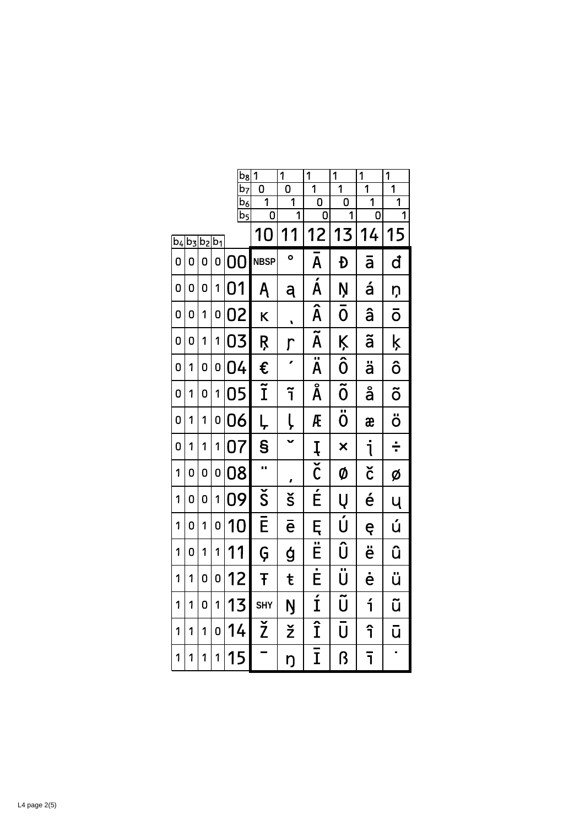|                |       |           |   | $b_8$                     | $\overline{1}$         | $\overline{1}$      | $\overline{1}$                            | $\overline{1}$                      | $\overline{1}$                   | $\overline{1}$                   |
|----------------|-------|-----------|---|---------------------------|------------------------|---------------------|-------------------------------------------|-------------------------------------|----------------------------------|----------------------------------|
|                |       |           |   | .<br>b <sub>7</sub>       | O<br>$\overline{1}$    | 0<br>$\overline{1}$ | $\overline{1}$<br>$\overline{\mathsf{0}}$ | $\overline{1}$<br>$\overline{0}$    | $\overline{1}$<br>$\overline{1}$ | $\overline{1}$<br>$\overline{1}$ |
|                |       |           |   | $b_6$<br>$\overline{b_5}$ | 0                      | $\overline{1}$      | 0                                         | 1                                   | 0                                | 1                                |
| b <sub>4</sub> | $b_3$ | $b_2 b_1$ |   |                           | 10                     | 1<br>1              | 12                                        | 13                                  | 14                               | 15                               |
| 0              | 0     | 0         | O | 0<br>Ŋ                    | <b>NBSP</b>            | $\bullet$           | Ā                                         | Đ                                   | ā                                | đ                                |
| 0              | 0     | 0         | 1 | 01                        | Ą                      | ą                   | $\overline{\acute{\mathsf{A}}}$           | Ņ                                   | á                                | ņ                                |
| 0              | 0     | 1         | 0 | 02                        | K                      | L                   | $\overline{\hat{\mathsf{A}}}$             | Ō                                   | â                                | ō                                |
| 0              | 0     | 1         | 1 | 03                        | Ŗ                      | $\mathsf{r}$        | $\overline{\widetilde{\mathsf{A}}}$       | Ķ                                   | ã                                | ķ                                |
| 0              | 1     | 0         | 0 | 04                        | €                      |                     | $\overline{\ddot{\mathsf{A}}}$            | $\overline{\hat{0}}$                | ä                                | ô                                |
| 0              | 1     | 0         | 1 | 05                        | $\widetilde{\text{I}}$ | ĩ                   | $\overline{\text{\AA}}$                   | $\overline{\tilde{0}}$              | å                                | õ                                |
| 0              | 1     | 1         | 0 | 06                        | Ļ                      | Ļ                   | Æ                                         | $\overline{\ddot{\mathrm{o}}}$      | æ                                | ö                                |
| 0              | 1     | 1         | 1 | 07                        | $\mathbf{s}$           | $\checkmark$        | Į                                         | $\overline{\mathsf{x}}$             | j                                | ÷                                |
| 1              | 0     | 0         | 0 | 08                        | Ω.                     | ı                   | $\overline{\check{\mathsf{C}}}$           | Ø                                   | č                                | Ø                                |
| 1              | 0     | 0         | 1 | 09                        | $\check{\mathsf{S}}$   | š                   | É                                         | Ų                                   | é                                | Ų                                |
| 1              | 0     | 1         | 0 | 10                        | Ē                      | $\bar{\mathsf{e}}$  | Ę                                         | Ú                                   | ę                                | ú                                |
| 1              | 0     | 1         | 1 | 11                        | Ģ                      | ģ                   | $\overline{\overline{E}}$                 | Û                                   | ë                                | û                                |
| 1              | 1     | 0         | 0 | 12                        | Ŧ                      | ŧ                   | $\overline{\dot{\mathsf{E}}}$             | $\overline{\ddot{\bm{\mathsf{U}}}}$ | ė                                | ü                                |
| 1              | 1     | 0         | 1 | 13                        | <b>SHY</b>             | Ŋ                   | $\overline{1}$                            | $\overline{\widetilde{\sf U}}$      | í                                | ũ                                |
| 1              | 1     | 1         | 0 | 14                        | $\overline{\check{Z}}$ | ž                   | $\overline{\hat{1}}$                      | Ū                                   | î                                | ū                                |
| 1              | 1     | 1         | 1 | 15                        |                        | ŋ                   | Ī                                         | ß                                   | ī                                | Ì,                               |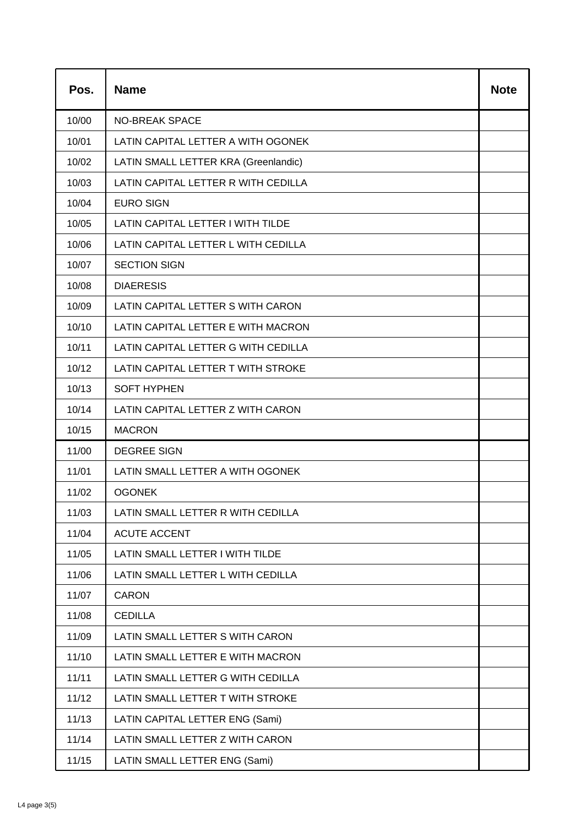| Pos.  | <b>Name</b>                          | <b>Note</b> |
|-------|--------------------------------------|-------------|
| 10/00 | <b>NO-BREAK SPACE</b>                |             |
| 10/01 | LATIN CAPITAL LETTER A WITH OGONEK   |             |
| 10/02 | LATIN SMALL LETTER KRA (Greenlandic) |             |
| 10/03 | LATIN CAPITAL LETTER R WITH CEDILLA  |             |
| 10/04 | <b>EURO SIGN</b>                     |             |
| 10/05 | LATIN CAPITAL LETTER I WITH TILDE    |             |
| 10/06 | LATIN CAPITAL LETTER L WITH CEDILLA  |             |
| 10/07 | <b>SECTION SIGN</b>                  |             |
| 10/08 | <b>DIAERESIS</b>                     |             |
| 10/09 | LATIN CAPITAL LETTER S WITH CARON    |             |
| 10/10 | LATIN CAPITAL LETTER E WITH MACRON   |             |
| 10/11 | LATIN CAPITAL LETTER G WITH CEDILLA  |             |
| 10/12 | LATIN CAPITAL LETTER T WITH STROKE   |             |
| 10/13 | <b>SOFT HYPHEN</b>                   |             |
| 10/14 | LATIN CAPITAL LETTER Z WITH CARON    |             |
| 10/15 | <b>MACRON</b>                        |             |
| 11/00 | <b>DEGREE SIGN</b>                   |             |
| 11/01 | LATIN SMALL LETTER A WITH OGONEK     |             |
| 11/02 | <b>OGONEK</b>                        |             |
| 11/03 | LATIN SMALL LETTER R WITH CEDILLA    |             |
| 11/04 | <b>ACUTE ACCENT</b>                  |             |
| 11/05 | LATIN SMALL LETTER I WITH TILDE      |             |
| 11/06 | LATIN SMALL LETTER L WITH CEDILLA    |             |
| 11/07 | <b>CARON</b>                         |             |
| 11/08 | <b>CEDILLA</b>                       |             |
| 11/09 | LATIN SMALL LETTER S WITH CARON      |             |
| 11/10 | LATIN SMALL LETTER E WITH MACRON     |             |
| 11/11 | LATIN SMALL LETTER G WITH CEDILLA    |             |
| 11/12 | LATIN SMALL LETTER T WITH STROKE     |             |
| 11/13 | LATIN CAPITAL LETTER ENG (Sami)      |             |
| 11/14 | LATIN SMALL LETTER Z WITH CARON      |             |
| 11/15 | LATIN SMALL LETTER ENG (Sami)        |             |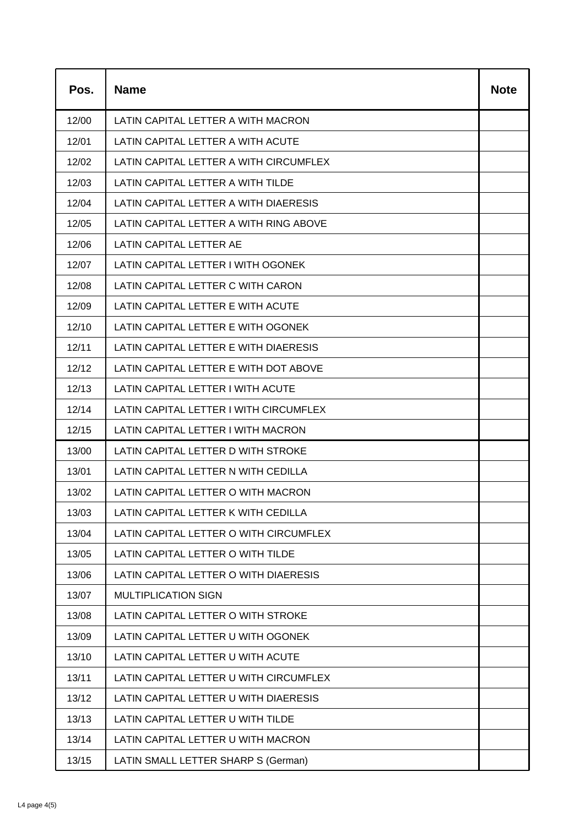| Pos.  | <b>Name</b>                            | <b>Note</b> |
|-------|----------------------------------------|-------------|
| 12/00 | LATIN CAPITAL LETTER A WITH MACRON     |             |
| 12/01 | LATIN CAPITAL LETTER A WITH ACUTE      |             |
| 12/02 | LATIN CAPITAL LETTER A WITH CIRCUMFLEX |             |
| 12/03 | LATIN CAPITAL LETTER A WITH TILDE      |             |
| 12/04 | LATIN CAPITAL LETTER A WITH DIAERESIS  |             |
| 12/05 | LATIN CAPITAL LETTER A WITH RING ABOVE |             |
| 12/06 | LATIN CAPITAL LETTER AE                |             |
| 12/07 | LATIN CAPITAL LETTER I WITH OGONEK     |             |
| 12/08 | LATIN CAPITAL LETTER C WITH CARON      |             |
| 12/09 | LATIN CAPITAL LETTER E WITH ACUTE      |             |
| 12/10 | LATIN CAPITAL LETTER E WITH OGONEK     |             |
| 12/11 | LATIN CAPITAL LETTER E WITH DIAERESIS  |             |
| 12/12 | LATIN CAPITAL LETTER E WITH DOT ABOVE  |             |
| 12/13 | LATIN CAPITAL LETTER I WITH ACUTE      |             |
| 12/14 | LATIN CAPITAL LETTER I WITH CIRCUMFLEX |             |
| 12/15 | LATIN CAPITAL LETTER I WITH MACRON     |             |
| 13/00 | LATIN CAPITAL LETTER D WITH STROKE     |             |
| 13/01 | LATIN CAPITAL LETTER N WITH CEDILLA    |             |
| 13/02 | LATIN CAPITAL LETTER O WITH MACRON     |             |
| 13/03 | LATIN CAPITAL LETTER K WITH CEDILLA    |             |
| 13/04 | LATIN CAPITAL LETTER O WITH CIRCUMFLEX |             |
| 13/05 | LATIN CAPITAL LETTER O WITH TILDE      |             |
| 13/06 | LATIN CAPITAL LETTER O WITH DIAERESIS  |             |
| 13/07 | <b>MULTIPLICATION SIGN</b>             |             |
| 13/08 | LATIN CAPITAL LETTER O WITH STROKE     |             |
| 13/09 | LATIN CAPITAL LETTER U WITH OGONEK     |             |
| 13/10 | LATIN CAPITAL LETTER U WITH ACUTE      |             |
| 13/11 | LATIN CAPITAL LETTER U WITH CIRCUMFLEX |             |
| 13/12 | LATIN CAPITAL LETTER U WITH DIAERESIS  |             |
| 13/13 | LATIN CAPITAL LETTER U WITH TILDE      |             |
| 13/14 | LATIN CAPITAL LETTER U WITH MACRON     |             |
| 13/15 | LATIN SMALL LETTER SHARP S (German)    |             |